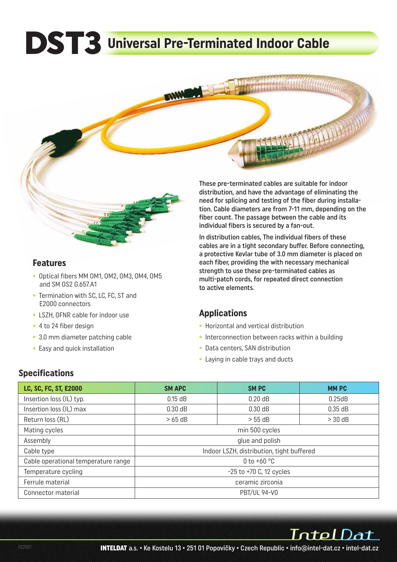# **DST3 Universal Pre-Terminated Indoor Cable**



#### **Features**

- Optical fibers MM OM1, OM2, OM3, OM4, OM5 and SM OS2 G.657.A1
- Termination with SC, LC, FC, ST and E2000 connectors
- LSZH, OFNR cable for indoor use
- 4 to 24 fiber design
- 3.0 mm diameter patching cable
- Easy and quick installation

These pre-terminated cables are suitable for indoor distribution, and have the advantage of eliminating the need for splicing and testing of the fiber during installation. Cable diameters are from 7-11 mm, depending on the fiber count. The passage between the cable and its individual fibers is secured by a fan-out.

In distribution cables, The individual fibers of these cables are in a tight secondary buffer. Before connecting, a protective Kevlar tube of 3.0 mm diameter is placed on each fiber, providing the with necessary mechanical strength to use these pre-terminated cables as multi-patch cords, for repeated direct connection to active elements.

### **Applications**

- Horizontal and vertical distribution
- Interconnection between racks within a building
- Data centers, SAN distribution
- Laying in cable trays and ducts

### **Specifications**

| LC, SC, FC, ST, E2000               | <b>SM APC</b>                             | <b>SMPC</b> | <b>MMPC</b> |  |  |  |  |  |
|-------------------------------------|-------------------------------------------|-------------|-------------|--|--|--|--|--|
| Insertion loss (IL) typ.            | $0.15$ dB                                 | $0.20$ dB   | 0.25dB      |  |  |  |  |  |
| Insertion loss (IL) max             | 0.30 dB                                   | $0.30$ dB   | 0.35 dB     |  |  |  |  |  |
| Return loss (RL)                    | $>65$ dB                                  | $> 55$ dB   | $>$ 30 dB   |  |  |  |  |  |
| Mating cycles                       | min 500 cycles                            |             |             |  |  |  |  |  |
| Assembly                            | glue and polish                           |             |             |  |  |  |  |  |
| Cable type                          | Indoor LSZH, distribution, tight buffered |             |             |  |  |  |  |  |
| Cable operational temperature range | 0 to $+60$ °C                             |             |             |  |  |  |  |  |
| Temperature cycling                 | $-25$ to $+70$ C, 12 cycles               |             |             |  |  |  |  |  |
| Ferrule material                    | ceramic zirconia                          |             |             |  |  |  |  |  |
| Connector material                  | <b>PBT/UL 94-V0</b>                       |             |             |  |  |  |  |  |

IntelDat